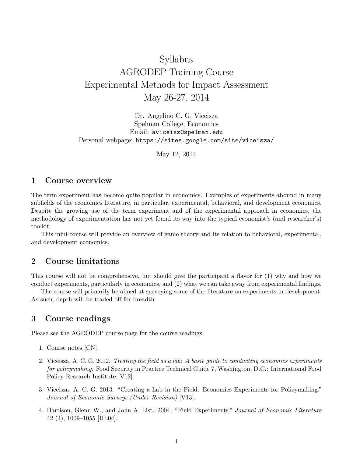# Syllabus AGRODEP Training Course Experimental Methods for Impact Assessment May 26-27, 2014

Dr. Angelino C. G. Viceisza Spelman College, Economics Email: aviceisz@spelman.edu Personal webpage: https://sites.google.com/site/viceisza/

May 12, 2014

#### **1 Course overview**

The term experiment has become quite popular in economics. Examples of experiments abound in many subfields of the economics literature, in particular, experimental, behavioral, and development economics. Despite the growing use of the term experiment and of the experimental approach in economics, the methodology of experimentation has not yet found its way into the typical economist's (and researcher's) toolkit.

This mini-course will provide an overview of game theory and its relation to behavioral, experimental, and development economics.

### **2 Course limitations**

This course will not be comprehensive, but should give the participant a flavor for (1) why and how we conduct experiments, particularly in economics, and (2) what we can take away from experimental findings.

The course will primarily be aimed at surveying some of the literature on experiments in development. As such, depth will be traded off for breadth.

#### **3 Course readings**

Please see the AGRODEP course page for the course readings.

- 1. Course notes [CN].
- 2. Viceisza, A. C. G. 2012. *Treating the field as a lab: A basic guide to conducting economics experiments for policymaking*. Food Security in Practice Technical Guide 7, Washington, D.C.: International Food Policy Research Institute [V12].
- 3. Viceisza, A. C. G. 2013. "Creating a Lab in the Field: Economics Experiments for Policymaking." *Journal of Economic Surveys (Under Revision)* [V13].
- 4. Harrison, Glenn W., and John A. List. 2004. "Field Experiments." *Journal of Economic Literature* 42 (4), 1009–1055 [HL04].